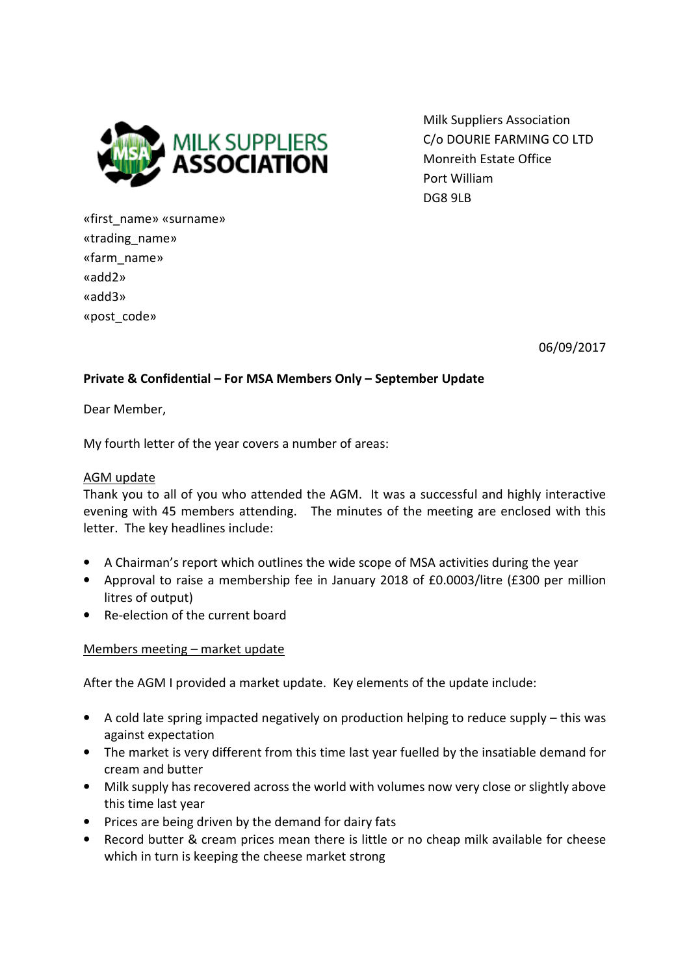

Milk Suppliers Association C/o DOURIE FARMING CO LTD Monreith Estate Office Port William DG8 9LB

«first\_name» «surname» «trading\_name» «farm\_name» «add2» «add3» «post\_code»

06/09/2017

## Private & Confidential – For MSA Members Only – September Update

Dear Member,

My fourth letter of the year covers a number of areas:

### AGM update

Thank you to all of you who attended the AGM. It was a successful and highly interactive evening with 45 members attending. The minutes of the meeting are enclosed with this letter. The key headlines include:

- A Chairman's report which outlines the wide scope of MSA activities during the year
- Approval to raise a membership fee in January 2018 of £0.0003/litre (£300 per million litres of output)
- Re-election of the current board

#### Members meeting – market update

After the AGM I provided a market update. Key elements of the update include:

- A cold late spring impacted negatively on production helping to reduce supply this was against expectation
- The market is very different from this time last year fuelled by the insatiable demand for cream and butter
- Milk supply has recovered across the world with volumes now very close or slightly above this time last year
- Prices are being driven by the demand for dairy fats
- Record butter & cream prices mean there is little or no cheap milk available for cheese which in turn is keeping the cheese market strong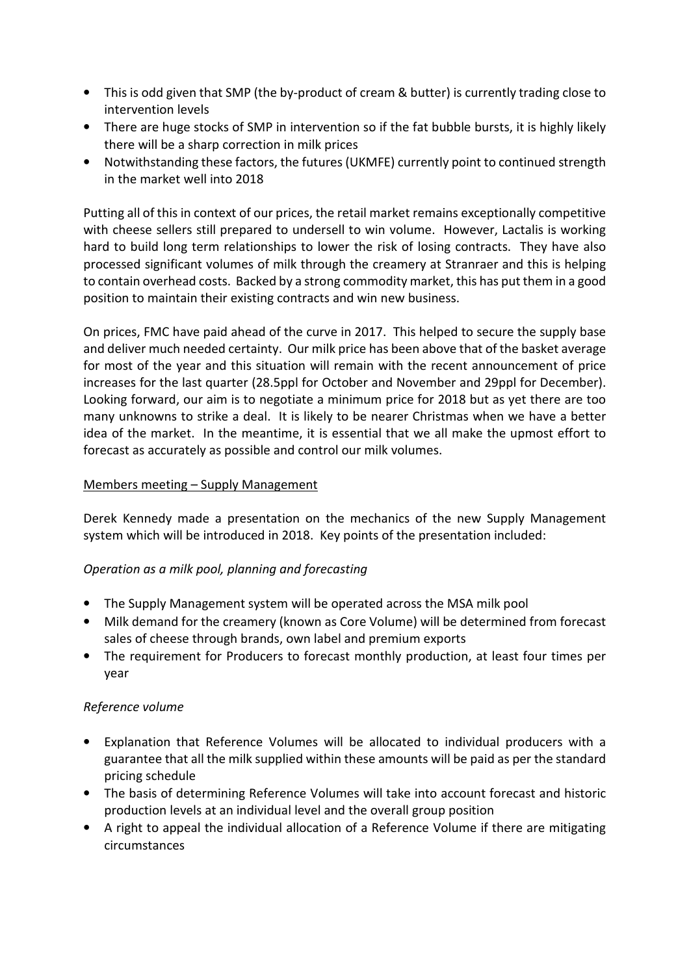- This is odd given that SMP (the by-product of cream & butter) is currently trading close to intervention levels
- There are huge stocks of SMP in intervention so if the fat bubble bursts, it is highly likely there will be a sharp correction in milk prices
- Notwithstanding these factors, the futures (UKMFE) currently point to continued strength in the market well into 2018

Putting all of this in context of our prices, the retail market remains exceptionally competitive with cheese sellers still prepared to undersell to win volume. However, Lactalis is working hard to build long term relationships to lower the risk of losing contracts. They have also processed significant volumes of milk through the creamery at Stranraer and this is helping to contain overhead costs. Backed by a strong commodity market, this has put them in a good position to maintain their existing contracts and win new business.

On prices, FMC have paid ahead of the curve in 2017. This helped to secure the supply base and deliver much needed certainty. Our milk price has been above that of the basket average for most of the year and this situation will remain with the recent announcement of price increases for the last quarter (28.5ppl for October and November and 29ppl for December). Looking forward, our aim is to negotiate a minimum price for 2018 but as yet there are too many unknowns to strike a deal. It is likely to be nearer Christmas when we have a better idea of the market. In the meantime, it is essential that we all make the upmost effort to forecast as accurately as possible and control our milk volumes.

## Members meeting – Supply Management

Derek Kennedy made a presentation on the mechanics of the new Supply Management system which will be introduced in 2018. Key points of the presentation included:

## Operation as a milk pool, planning and forecasting

- The Supply Management system will be operated across the MSA milk pool
- Milk demand for the creamery (known as Core Volume) will be determined from forecast sales of cheese through brands, own label and premium exports
- The requirement for Producers to forecast monthly production, at least four times per year

## Reference volume

- Explanation that Reference Volumes will be allocated to individual producers with a guarantee that all the milk supplied within these amounts will be paid as per the standard pricing schedule
- The basis of determining Reference Volumes will take into account forecast and historic production levels at an individual level and the overall group position
- A right to appeal the individual allocation of a Reference Volume if there are mitigating circumstances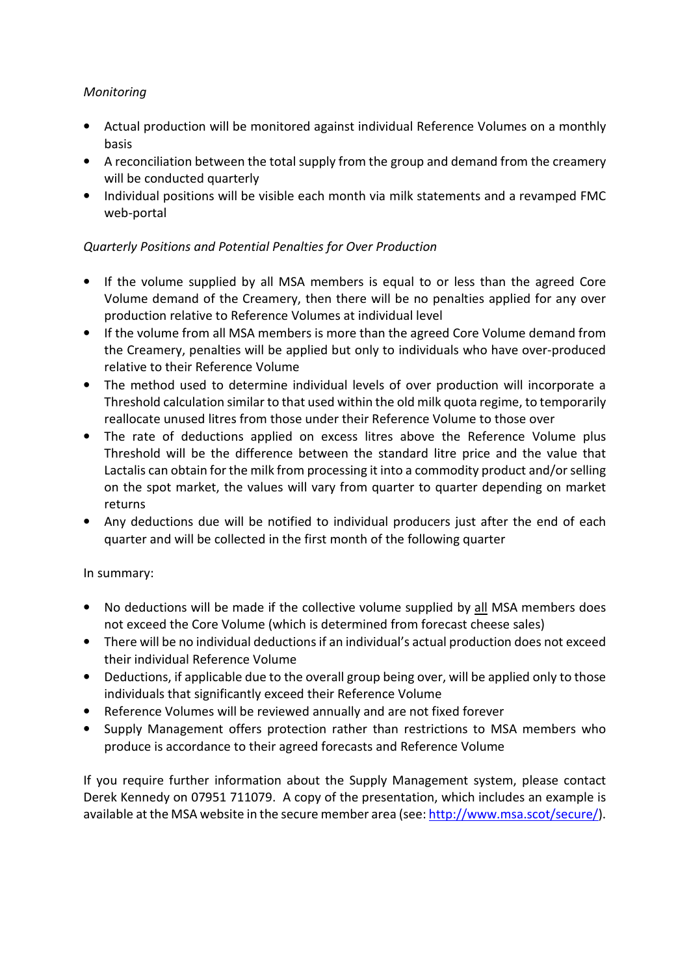## Monitoring

- Actual production will be monitored against individual Reference Volumes on a monthly basis
- A reconciliation between the total supply from the group and demand from the creamery will be conducted quarterly
- Individual positions will be visible each month via milk statements and a revamped FMC web-portal

## Quarterly Positions and Potential Penalties for Over Production

- If the volume supplied by all MSA members is equal to or less than the agreed Core Volume demand of the Creamery, then there will be no penalties applied for any over production relative to Reference Volumes at individual level
- If the volume from all MSA members is more than the agreed Core Volume demand from the Creamery, penalties will be applied but only to individuals who have over-produced relative to their Reference Volume
- The method used to determine individual levels of over production will incorporate a Threshold calculation similar to that used within the old milk quota regime, to temporarily reallocate unused litres from those under their Reference Volume to those over
- The rate of deductions applied on excess litres above the Reference Volume plus Threshold will be the difference between the standard litre price and the value that Lactalis can obtain for the milk from processing it into a commodity product and/or selling on the spot market, the values will vary from quarter to quarter depending on market returns
- Any deductions due will be notified to individual producers just after the end of each quarter and will be collected in the first month of the following quarter

## In summary:

- No deductions will be made if the collective volume supplied by all MSA members does not exceed the Core Volume (which is determined from forecast cheese sales)
- There will be no individual deductions if an individual's actual production does not exceed their individual Reference Volume
- Deductions, if applicable due to the overall group being over, will be applied only to those individuals that significantly exceed their Reference Volume
- Reference Volumes will be reviewed annually and are not fixed forever
- Supply Management offers protection rather than restrictions to MSA members who produce is accordance to their agreed forecasts and Reference Volume

If you require further information about the Supply Management system, please contact Derek Kennedy on 07951 711079. A copy of the presentation, which includes an example is available at the MSA website in the secure member area (see: http://www.msa.scot/secure/).